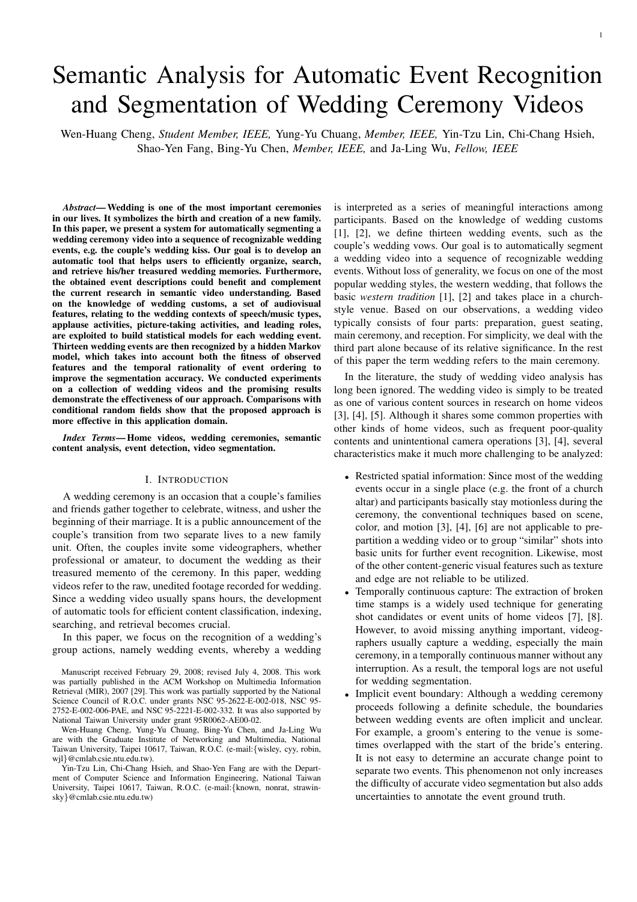# Semantic Analysis for Automatic Event Recognition and Segmentation of Wedding Ceremony Videos

Wen-Huang Cheng, *Student Member, IEEE,* Yung-Yu Chuang, *Member, IEEE,* Yin-Tzu Lin, Chi-Chang Hsieh, Shao-Yen Fang, Bing-Yu Chen, *Member, IEEE,* and Ja-Ling Wu, *Fellow, IEEE*

*Abstract*— Wedding is one of the most important ceremonies in our lives. It symbolizes the birth and creation of a new family. In this paper, we present a system for automatically segmenting a wedding ceremony video into a sequence of recognizable wedding events, e.g. the couple's wedding kiss. Our goal is to develop an automatic tool that helps users to efficiently organize, search, and retrieve his/her treasured wedding memories. Furthermore, the obtained event descriptions could benefit and complement the current research in semantic video understanding. Based on the knowledge of wedding customs, a set of audiovisual features, relating to the wedding contexts of speech/music types, applause activities, picture-taking activities, and leading roles, are exploited to build statistical models for each wedding event. Thirteen wedding events are then recognized by a hidden Markov model, which takes into account both the fitness of observed features and the temporal rationality of event ordering to improve the segmentation accuracy. We conducted experiments on a collection of wedding videos and the promising results demonstrate the effectiveness of our approach. Comparisons with conditional random fields show that the proposed approach is more effective in this application domain.

*Index Terms*— Home videos, wedding ceremonies, semantic content analysis, event detection, video segmentation.

# I. INTRODUCTION

A wedding ceremony is an occasion that a couple's families and friends gather together to celebrate, witness, and usher the beginning of their marriage. It is a public announcement of the couple's transition from two separate lives to a new family unit. Often, the couples invite some videographers, whether professional or amateur, to document the wedding as their treasured memento of the ceremony. In this paper, wedding videos refer to the raw, unedited footage recorded for wedding. Since a wedding video usually spans hours, the development of automatic tools for efficient content classification, indexing, searching, and retrieval becomes crucial.

In this paper, we focus on the recognition of a wedding's group actions, namely wedding events, whereby a wedding

Wen-Huang Cheng, Yung-Yu Chuang, Bing-Yu Chen, and Ja-Ling Wu are with the Graduate Institute of Networking and Multimedia, National Taiwan University, Taipei 10617, Taiwan, R.O.C. (e-mail:*{*wisley, cyy, robin, wjl*}*@cmlab.csie.ntu.edu.tw).

Yin-Tzu Lin, Chi-Chang Hsieh, and Shao-Yen Fang are with the Department of Computer Science and Information Engineering, National Taiwan University, Taipei 10617, Taiwan, R.O.C. (e-mail:*{*known, nonrat, strawinsky*}*@cmlab.csie.ntu.edu.tw)

is interpreted as a series of meaningful interactions among participants. Based on the knowledge of wedding customs [1], [2], we define thirteen wedding events, such as the couple's wedding vows. Our goal is to automatically segment a wedding video into a sequence of recognizable wedding events. Without loss of generality, we focus on one of the most popular wedding styles, the western wedding, that follows the basic *western tradition* [1], [2] and takes place in a churchstyle venue. Based on our observations, a wedding video typically consists of four parts: preparation, guest seating, main ceremony, and reception. For simplicity, we deal with the third part alone because of its relative significance. In the rest of this paper the term wedding refers to the main ceremony.

In the literature, the study of wedding video analysis has long been ignored. The wedding video is simply to be treated as one of various content sources in research on home videos [3], [4], [5]. Although it shares some common properties with other kinds of home videos, such as frequent poor-quality contents and unintentional camera operations [3], [4], several characteristics make it much more challenging to be analyzed:

- Restricted spatial information: Since most of the wedding events occur in a single place (e.g. the front of a church altar) and participants basically stay motionless during the ceremony, the conventional techniques based on scene, color, and motion [3], [4], [6] are not applicable to prepartition a wedding video or to group "similar" shots into basic units for further event recognition. Likewise, most of the other content-generic visual features such as texture and edge are not reliable to be utilized.
- Temporally continuous capture: The extraction of broken time stamps is a widely used technique for generating shot candidates or event units of home videos [7], [8]. However, to avoid missing anything important, videographers usually capture a wedding, especially the main ceremony, in a temporally continuous manner without any interruption. As a result, the temporal logs are not useful for wedding segmentation.
- Implicit event boundary: Although a wedding ceremony proceeds following a definite schedule, the boundaries between wedding events are often implicit and unclear. For example, a groom's entering to the venue is sometimes overlapped with the start of the bride's entering. It is not easy to determine an accurate change point to separate two events. This phenomenon not only increases the difficulty of accurate video segmentation but also adds uncertainties to annotate the event ground truth.

Manuscript received February 29, 2008; revised July 4, 2008. This work was partially published in the ACM Workshop on Multimedia Information Retrieval (MIR), 2007 [29]. This work was partially supported by the National Science Council of R.O.C. under grants NSC 95-2622-E-002-018, NSC 95-2752-E-002-006-PAE, and NSC 95-2221-E-002-332. It was also supported by National Taiwan University under grant 95R0062-AE00-02.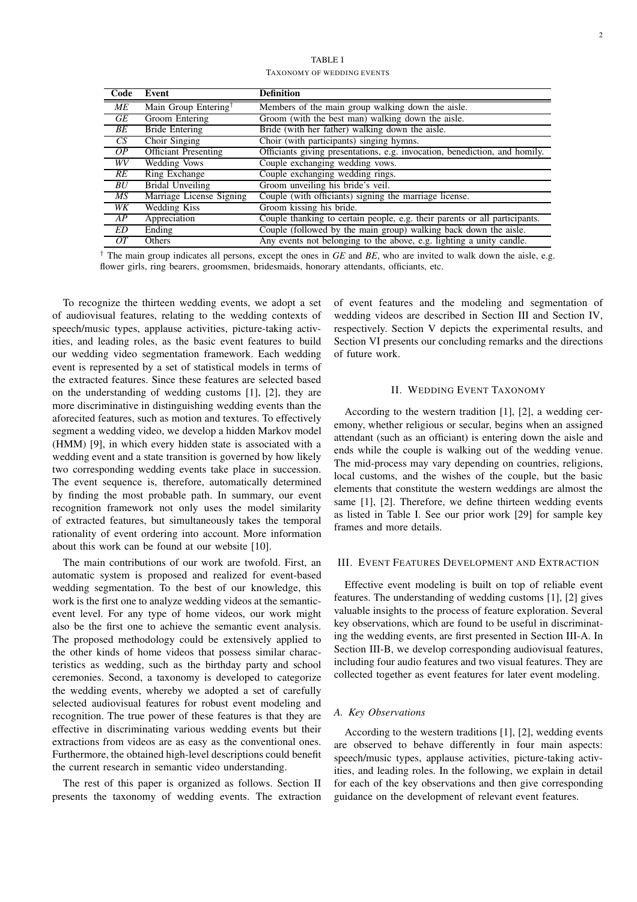TABLE I TAXONOMY OF WEDDING EVENTS

| Code            | Event                            | <b>Definition</b>                                                          |
|-----------------|----------------------------------|----------------------------------------------------------------------------|
| МE              | Main Group Entering <sup>T</sup> | Members of the main group walking down the aisle.                          |
| GE              | Groom Entering                   | Groom (with the best man) walking down the aisle.                          |
| BE              | <b>Bride Entering</b>            | Bride (with her father) walking down the aisle.                            |
| CS              | Choir Singing                    | Choir (with participants) singing hymns.                                   |
| OP              | <b>Officiant Presenting</b>      | Officiants giving presentations, e.g. invocation, benediction, and homily. |
| WV              | Wedding Vows                     | Couple exchanging wedding vows.                                            |
| RE              | Ring Exchange                    | Couple exchanging wedding rings.                                           |
| BU              | <b>Bridal Unveiling</b>          | Groom unveiling his bride's veil.                                          |
| $\overline{MS}$ | Marriage License Signing         | Couple (with officiants) signing the marriage license.                     |
| WK              | <b>Wedding Kiss</b>              | Groom kissing his bride.                                                   |
| AP              | Appreciation                     | Couple thanking to certain people, e.g. their parents or all participants. |
| <i>ED</i>       | Ending                           | Couple (followed by the main group) walking back down the aisle.           |
| <sup>OT</sup>   | Others                           | Any events not belonging to the above, e.g. lighting a unity candle.       |

† The main group indicates all persons, except the ones in *GE* and *BE*, who are invited to walk down the aisle, e.g. flower girls, ring bearers, groomsmen, bridesmaids, honorary attendants, officiants, etc.

To recognize the thirteen wedding events, we adopt a set of audiovisual features, relating to the wedding contexts of speech/music types, applause activities, picture-taking activities, and leading roles, as the basic event features to build our wedding video segmentation framework. Each wedding event is represented by a set of statistical models in terms of the extracted features. Since these features are selected based on the understanding of wedding customs [1], [2], they are more discriminative in distinguishing wedding events than the aforecited features, such as motion and textures. To effectively segment a wedding video, we develop a hidden Markov model (HMM) [9], in which every hidden state is associated with a wedding event and a state transition is governed by how likely two corresponding wedding events take place in succession. The event sequence is, therefore, automatically determined by finding the most probable path. In summary, our event recognition framework not only uses the model similarity of extracted features, but simultaneously takes the temporal rationality of event ordering into account. More information about this work can be found at our website [10].

The main contributions of our work are twofold. First, an automatic system is proposed and realized for event-based wedding segmentation. To the best of our knowledge, this work is the first one to analyze wedding videos at the semanticevent level. For any type of home videos, our work might also be the first one to achieve the semantic event analysis. The proposed methodology could be extensively applied to the other kinds of home videos that possess similar characteristics as wedding, such as the birthday party and school ceremonies. Second, a taxonomy is developed to categorize the wedding events, whereby we adopted a set of carefully selected audiovisual features for robust event modeling and recognition. The true power of these features is that they are effective in discriminating various wedding events but their extractions from videos are as easy as the conventional ones. Furthermore, the obtained high-level descriptions could benefit the current research in semantic video understanding.

The rest of this paper is organized as follows. Section II presents the taxonomy of wedding events. The extraction of event features and the modeling and segmentation of wedding videos are described in Section III and Section IV, respectively. Section V depicts the experimental results, and Section VI presents our concluding remarks and the directions of future work.

#### II. WEDDING EVENT TAXONOMY

According to the western tradition [1], [2], a wedding ceremony, whether religious or secular, begins when an assigned attendant (such as an officiant) is entering down the aisle and ends while the couple is walking out of the wedding venue. The mid-process may vary depending on countries, religions, local customs, and the wishes of the couple, but the basic elements that constitute the western weddings are almost the same [1], [2]. Therefore, we define thirteen wedding events as listed in Table I. See our prior work [29] for sample key frames and more details.

#### III. EVENT FEATURES DEVELOPMENT AND EXTRACTION

Effective event modeling is built on top of reliable event features. The understanding of wedding customs [1], [2] gives valuable insights to the process of feature exploration. Several key observations, which are found to be useful in discriminating the wedding events, are first presented in Section III-A. In Section III-B, we develop corresponding audiovisual features, including four audio features and two visual features. They are collected together as event features for later event modeling.

# *A. Key Observations*

According to the western traditions [1], [2], wedding events are observed to behave differently in four main aspects: speech/music types, applause activities, picture-taking activities, and leading roles. In the following, we explain in detail for each of the key observations and then give corresponding guidance on the development of relevant event features.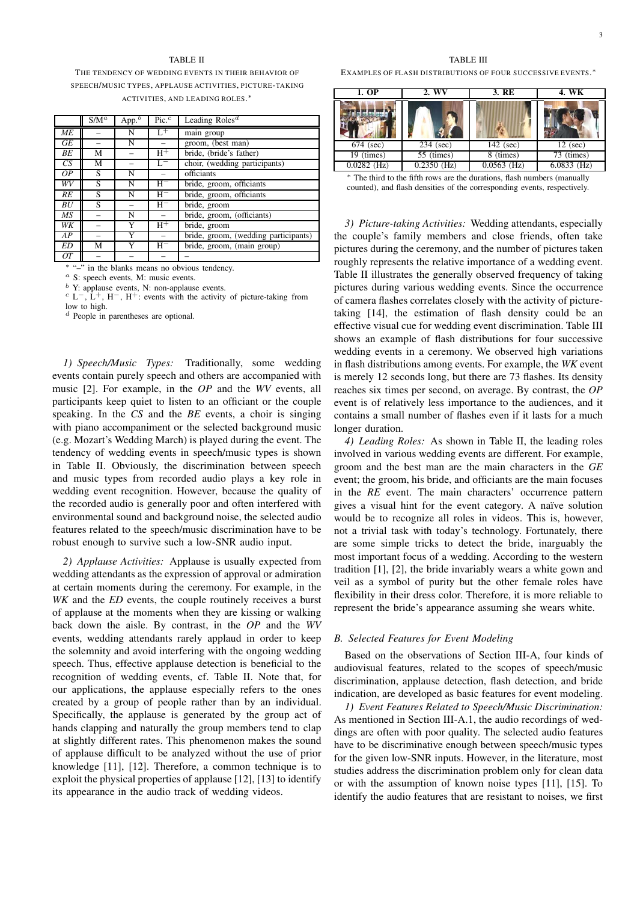#### TABLE II

THE TENDENCY OF WEDDING EVENTS IN THEIR BEHAVIOR OF SPEECH/MUSIC TYPES, APPLAUSE ACTIVITIES, PICTURE-TAKING ACTIVITIES, AND LEADING ROLES. ∗

|                 | $S/M^a$ | App. <sup>b</sup> | $Pic.$ <sup>c</sup> | Leading Roles <sup><math>d</math></sup> |
|-----------------|---------|-------------------|---------------------|-----------------------------------------|
| МE              |         | N                 | $\overline{L^+}$    | main group                              |
| GE              |         | N                 |                     | groom, (best man)                       |
| BЕ              | М       |                   | $H^+$               | bride, (bride's father)                 |
| CS <sup>-</sup> | М       |                   | $L =$               | choir, (wedding participants)           |
| OΡ              | S       | N                 |                     | officiants                              |
| WV              | S       | N                 | $H^-$               | bride, groom, officiants                |
| RE              | S       | N                 | $H^-$               | bride, groom, officiants                |
| BU              | S       |                   | $H^-$               | bride, groom                            |
| МS              |         | N                 |                     | bride, groom, (officiants)              |
| WK              |         | Y                 | $H^+$               | bride, groom                            |
| AP              |         | Y                 |                     | bride, groom, (wedding participants)    |
| <b>ED</b>       | М       | Y                 | $H^-$               | bride, groom, (main group)              |
| ΟT              |         |                   |                     |                                         |

<sup>∗</sup> "–" in the blanks means no obvious tendency. *<sup>a</sup>* S: speech events, M: music events. *<sup>b</sup>* Y: applause events, N: non-applause events. *<sup>c</sup>* <sup>L</sup>−, L+, H−, H+: events with the activity of picture-taking from

low to high.

People in parentheses are optional.

*1) Speech/Music Types:* Traditionally, some wedding events contain purely speech and others are accompanied with music [2]. For example, in the *OP* and the *WV* events, all participants keep quiet to listen to an officiant or the couple speaking. In the *CS* and the *BE* events, a choir is singing with piano accompaniment or the selected background music (e.g. Mozart's Wedding March) is played during the event. The tendency of wedding events in speech/music types is shown in Table II. Obviously, the discrimination between speech and music types from recorded audio plays a key role in wedding event recognition. However, because the quality of the recorded audio is generally poor and often interfered with environmental sound and background noise, the selected audio features related to the speech/music discrimination have to be robust enough to survive such a low-SNR audio input.

*2) Applause Activities:* Applause is usually expected from wedding attendants as the expression of approval or admiration at certain moments during the ceremony. For example, in the *WK* and the *ED* events, the couple routinely receives a burst of applause at the moments when they are kissing or walking back down the aisle. By contrast, in the *OP* and the *WV* events, wedding attendants rarely applaud in order to keep the solemnity and avoid interfering with the ongoing wedding speech. Thus, effective applause detection is beneficial to the recognition of wedding events, cf. Table II. Note that, for our applications, the applause especially refers to the ones created by a group of people rather than by an individual. Specifically, the applause is generated by the group act of hands clapping and naturally the group members tend to clap at slightly different rates. This phenomenon makes the sound of applause difficult to be analyzed without the use of prior knowledge [11], [12]. Therefore, a common technique is to exploit the physical properties of applause [12], [13] to identify its appearance in the audio track of wedding videos.

TABLE III EXAMPLES OF FLASH DISTRIBUTIONS OF FOUR SUCCESSIVE EVENTS. ∗

| 1. OP         | 2. WV         | 3. RE                  | <b>4. WK</b>  |
|---------------|---------------|------------------------|---------------|
|               |               |                        |               |
| 674 (sec)     | $234$ (sec)   | $\overline{142}$ (sec) | 12 (sec)      |
| 19 (times)    | 55 (times)    | 8 (times)              | 73 (times)    |
| $0.0282$ (Hz) | $0.2350$ (Hz) | $0.0563$ (Hz)          | $6.0833$ (Hz) |

∗ The third to the fifth rows are the durations, flash numbers (manually counted), and flash densities of the corresponding events, respectively.

*3) Picture-taking Activities:* Wedding attendants, especially the couple's family members and close friends, often take pictures during the ceremony, and the number of pictures taken roughly represents the relative importance of a wedding event. Table II illustrates the generally observed frequency of taking pictures during various wedding events. Since the occurrence of camera flashes correlates closely with the activity of picturetaking [14], the estimation of flash density could be an effective visual cue for wedding event discrimination. Table III shows an example of flash distributions for four successive wedding events in a ceremony. We observed high variations in flash distributions among events. For example, the *WK* event is merely 12 seconds long, but there are 73 flashes. Its density reaches six times per second, on average. By contrast, the *OP* event is of relatively less importance to the audiences, and it contains a small number of flashes even if it lasts for a much longer duration.

*4) Leading Roles:* As shown in Table II, the leading roles involved in various wedding events are different. For example, groom and the best man are the main characters in the *GE* event; the groom, his bride, and officiants are the main focuses in the *RE* event. The main characters' occurrence pattern gives a visual hint for the event category. A naïve solution would be to recognize all roles in videos. This is, however, not a trivial task with today's technology. Fortunately, there are some simple tricks to detect the bride, inarguably the most important focus of a wedding. According to the western tradition [1], [2], the bride invariably wears a white gown and veil as a symbol of purity but the other female roles have flexibility in their dress color. Therefore, it is more reliable to represent the bride's appearance assuming she wears white.

# *B. Selected Features for Event Modeling*

Based on the observations of Section III-A, four kinds of audiovisual features, related to the scopes of speech/music discrimination, applause detection, flash detection, and bride indication, are developed as basic features for event modeling.

*1) Event Features Related to Speech/Music Discrimination:* As mentioned in Section III-A.1, the audio recordings of weddings are often with poor quality. The selected audio features have to be discriminative enough between speech/music types for the given low-SNR inputs. However, in the literature, most studies address the discrimination problem only for clean data or with the assumption of known noise types [11], [15]. To identify the audio features that are resistant to noises, we first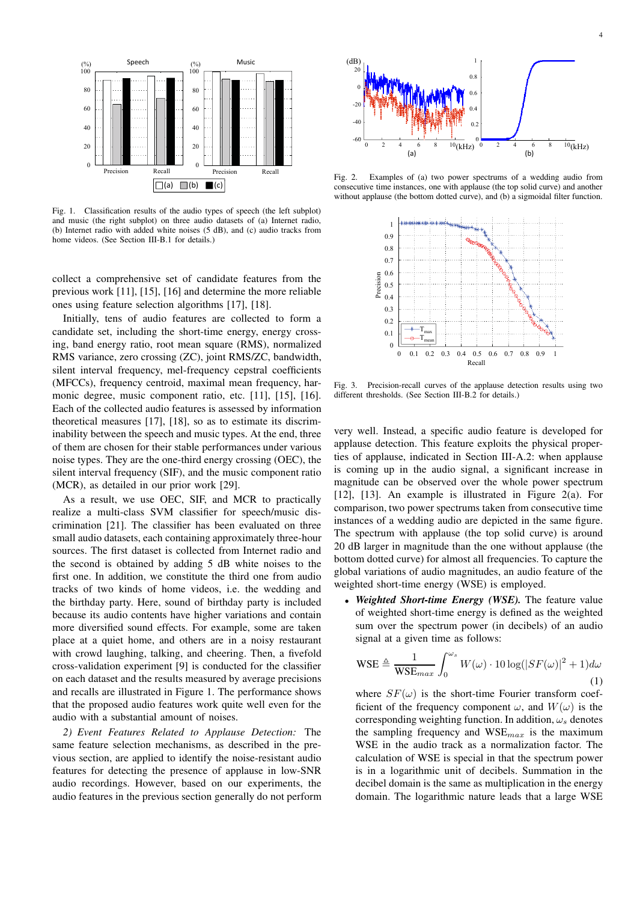

Fig. 1. Classification results of the audio types of speech (the left subplot) and music (the right subplot) on three audio datasets of (a) Internet radio, (b) Internet radio with added white noises (5 dB), and (c) audio tracks from home videos. (See Section III-B.1 for details.)

collect a comprehensive set of candidate features from the previous work [11], [15], [16] and determine the more reliable ones using feature selection algorithms [17], [18].

Initially, tens of audio features are collected to form a candidate set, including the short-time energy, energy crossing, band energy ratio, root mean square (RMS), normalized RMS variance, zero crossing (ZC), joint RMS/ZC, bandwidth, silent interval frequency, mel-frequency cepstral coefficients (MFCCs), frequency centroid, maximal mean frequency, harmonic degree, music component ratio, etc. [11], [15], [16]. Each of the collected audio features is assessed by information theoretical measures [17], [18], so as to estimate its discriminability between the speech and music types. At the end, three of them are chosen for their stable performances under various noise types. They are the one-third energy crossing (OEC), the silent interval frequency (SIF), and the music component ratio (MCR), as detailed in our prior work [29].

As a result, we use OEC, SIF, and MCR to practically realize a multi-class SVM classifier for speech/music discrimination [21]. The classifier has been evaluated on three small audio datasets, each containing approximately three-hour sources. The first dataset is collected from Internet radio and the second is obtained by adding 5 dB white noises to the first one. In addition, we constitute the third one from audio tracks of two kinds of home videos, i.e. the wedding and the birthday party. Here, sound of birthday party is included because its audio contents have higher variations and contain more diversified sound effects. For example, some are taken place at a quiet home, and others are in a noisy restaurant with crowd laughing, talking, and cheering. Then, a fivefold cross-validation experiment [9] is conducted for the classifier on each dataset and the results measured by average precisions and recalls are illustrated in Figure 1. The performance shows that the proposed audio features work quite well even for the audio with a substantial amount of noises.

*2) Event Features Related to Applause Detection:* The same feature selection mechanisms, as described in the previous section, are applied to identify the noise-resistant audio features for detecting the presence of applause in low-SNR audio recordings. However, based on our experiments, the audio features in the previous section generally do not perform



Fig. 2. Examples of (a) two power spectrums of a wedding audio from consecutive time instances, one with applause (the top solid curve) and another without applause (the bottom dotted curve), and (b) a sigmoidal filter function.



Fig. 3. Precision-recall curves of the applause detection results using two different thresholds. (See Section III-B.2 for details.)

very well. Instead, a specific audio feature is developed for applause detection. This feature exploits the physical properties of applause, indicated in Section III-A.2: when applause is coming up in the audio signal, a significant increase in magnitude can be observed over the whole power spectrum [12], [13]. An example is illustrated in Figure 2(a). For comparison, two power spectrums taken from consecutive time instances of a wedding audio are depicted in the same figure. The spectrum with applause (the top solid curve) is around 20 dB larger in magnitude than the one without applause (the bottom dotted curve) for almost all frequencies. To capture the global variations of audio magnitudes, an audio feature of the weighted short-time energy (WSE) is employed.

• *Weighted Short-time Energy (WSE).* The feature value of weighted short-time energy is defined as the weighted sum over the spectrum power (in decibels) of an audio signal at a given time as follows:

$$
\text{WSE} \triangleq \frac{1}{\text{WSE}_{max}} \int_0^{\omega_s} W(\omega) \cdot 10 \log(|SF(\omega)|^2 + 1) d\omega \tag{1}
$$

where  $SF(\omega)$  is the short-time Fourier transform coefficient of the frequency component  $\omega$ , and  $W(\omega)$  is the corresponding weighting function. In addition,  $\omega_s$  denotes the sampling frequency and  $WSE_{max}$  is the maximum WSE in the audio track as a normalization factor. The calculation of WSE is special in that the spectrum power is in a logarithmic unit of decibels. Summation in the decibel domain is the same as multiplication in the energy domain. The logarithmic nature leads that a large WSE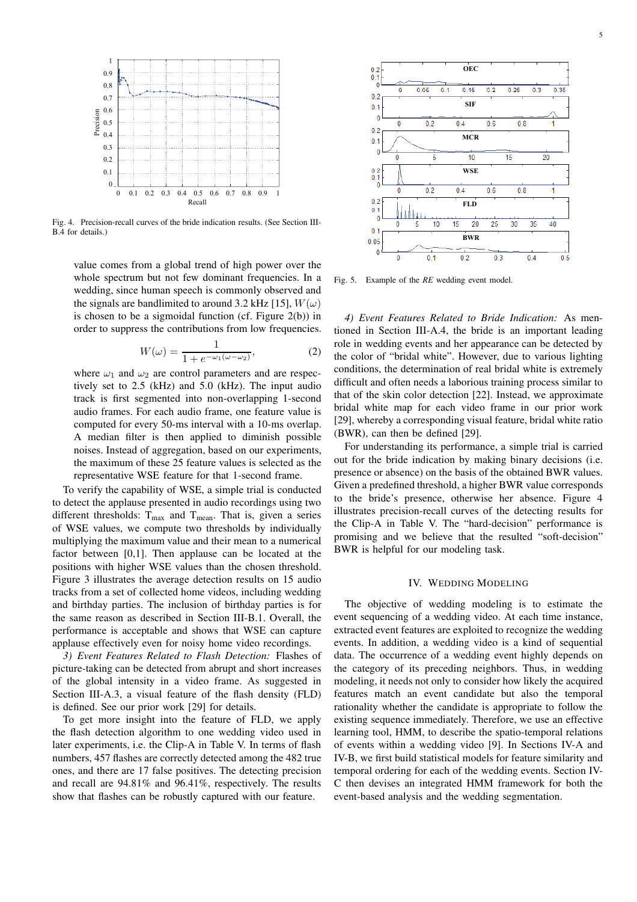

Fig. 4. Precision-recall curves of the bride indication results. (See Section III-B.4 for details.)

value comes from a global trend of high power over the whole spectrum but not few dominant frequencies. In a wedding, since human speech is commonly observed and the signals are bandlimited to around 3.2 kHz [15],  $W(\omega)$ is chosen to be a sigmoidal function (cf. Figure 2(b)) in order to suppress the contributions from low frequencies.

$$
W(\omega) = \frac{1}{1 + e^{-\omega_1(\omega - \omega_2)}},
$$
\n(2)

\nwhere  $\omega_1$  and  $\omega_2$  are control parameters and are respec-

tively set to 2.5 (kHz) and 5.0 (kHz). The input audio track is first segmented into non-overlapping 1-second audio frames. For each audio frame, one feature value is computed for every 50-ms interval with a 10-ms overlap. A median filter is then applied to diminish possible noises. Instead of aggregation, based on our experiments, the maximum of these 25 feature values is selected as the representative WSE feature for that 1-second frame.

To verify the capability of WSE, a simple trial is conducted to detect the applause presented in audio recordings using two different thresholds:  $T_{max}$  and  $T_{mean}$ . That is, given a series of WSE values, we compute two thresholds by individually multiplying the maximum value and their mean to a numerical factor between [0,1]. Then applause can be located at the positions with higher WSE values than the chosen threshold. Figure 3 illustrates the average detection results on 15 audio tracks from a set of collected home videos, including wedding and birthday parties. The inclusion of birthday parties is for the same reason as described in Section III-B.1. Overall, the performance is acceptable and shows that WSE can capture applause effectively even for noisy home video recordings.

*3) Event Features Related to Flash Detection:* Flashes of picture-taking can be detected from abrupt and short increases of the global intensity in a video frame. As suggested in Section III-A.3, a visual feature of the flash density (FLD) is defined. See our prior work [29] for details.

To get more insight into the feature of FLD, we apply the flash detection algorithm to one wedding video used in later experiments, i.e. the Clip-A in Table V. In terms of flash numbers, 457 flashes are correctly detected among the 482 true ones, and there are 17 false positives. The detecting precision and recall are 94.81% and 96.41%, respectively. The results show that flashes can be robustly captured with our feature.



Fig. 5. Example of the *RE* wedding event model.

*4) Event Features Related to Bride Indication:* As mentioned in Section III-A.4, the bride is an important leading role in wedding events and her appearance can be detected by the color of "bridal white". However, due to various lighting conditions, the determination of real bridal white is extremely difficult and often needs a laborious training process similar to that of the skin color detection [22]. Instead, we approximate bridal white map for each video frame in our prior work [29], whereby a corresponding visual feature, bridal white ratio (BWR), can then be defined [29].

For understanding its performance, a simple trial is carried out for the bride indication by making binary decisions (i.e. presence or absence) on the basis of the obtained BWR values. Given a predefined threshold, a higher BWR value corresponds to the bride's presence, otherwise her absence. Figure 4 illustrates precision-recall curves of the detecting results for the Clip-A in Table V. The "hard-decision" performance is promising and we believe that the resulted "soft-decision" BWR is helpful for our modeling task.

## IV. WEDDING MODELING

The objective of wedding modeling is to estimate the event sequencing of a wedding video. At each time instance, extracted event features are exploited to recognize the wedding events. In addition, a wedding video is a kind of sequential data. The occurrence of a wedding event highly depends on the category of its preceding neighbors. Thus, in wedding modeling, it needs not only to consider how likely the acquired features match an event candidate but also the temporal rationality whether the candidate is appropriate to follow the existing sequence immediately. Therefore, we use an effective learning tool, HMM, to describe the spatio-temporal relations of events within a wedding video [9]. In Sections IV-A and IV-B, we first build statistical models for feature similarity and temporal ordering for each of the wedding events. Section IV-C then devises an integrated HMM framework for both the event-based analysis and the wedding segmentation.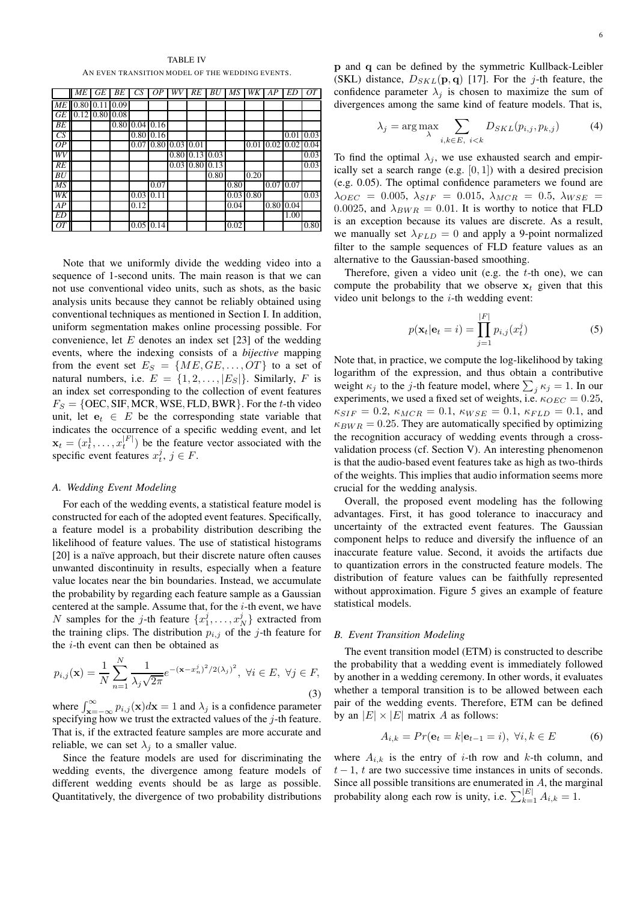TABLE IV AN EVEN TRANSITION MODEL OF THE WEDDING EVENTS.

|                 | ME                     | GE I | BE |                                  | $CS$ $OP$             | WV | RE                               | BU   | MS   | WK             | AP                    | ED             | $\overline{O}T$ |
|-----------------|------------------------|------|----|----------------------------------|-----------------------|----|----------------------------------|------|------|----------------|-----------------------|----------------|-----------------|
|                 | $ME$ 0.80 0.11 0.09    |      |    |                                  |                       |    |                                  |      |      |                |                       |                |                 |
| <b>GE</b>       | $0.12 \, 0.80 \, 0.08$ |      |    |                                  |                       |    |                                  |      |      |                |                       |                |                 |
| BE              |                        |      |    | $0.80 \,   \, 0.04 \,   \, 0.16$ |                       |    |                                  |      |      |                |                       |                |                 |
| CS              |                        |      |    |                                  | 0.80 0.16             |    |                                  |      |      |                |                       | $0.01 \, 0.03$ |                 |
| OP              |                        |      |    |                                  | $0.07$ 0.80 0.03 0.01 |    |                                  |      |      |                | $0.01$ 0.02 0.02 0.04 |                |                 |
| WV              |                        |      |    |                                  |                       |    | $0.80 \,   \, 0.13 \,   \, 0.03$ |      |      |                |                       |                | 0.03            |
| RE              |                        |      |    |                                  |                       |    | $0.03 \, 0.80 \, 0.13$           |      |      |                |                       |                | 0.03            |
| BU              |                        |      |    |                                  |                       |    |                                  | 0.80 |      | 0.20           |                       |                |                 |
| $\overline{MS}$ |                        |      |    |                                  | 0.07                  |    |                                  |      | 0.80 |                | 0.07                  | 0.07           |                 |
| WK              |                        |      |    | 0.03                             | $0.\overline{11}$     |    |                                  |      |      | $0.03 \, 0.80$ |                       |                | 0.03            |
| AP              |                        |      |    | 0.12                             |                       |    |                                  |      | 0.04 |                | $0.80\,0.04$          |                |                 |
| ED              |                        |      |    |                                  |                       |    |                                  |      |      |                |                       | 1.00           |                 |
| $\overline{or}$ |                        |      |    | 0.05                             | 0.14                  |    |                                  |      | 0.02 |                |                       |                | 0.80            |

Note that we uniformly divide the wedding video into a sequence of 1-second units. The main reason is that we can not use conventional video units, such as shots, as the basic analysis units because they cannot be reliably obtained using conventional techniques as mentioned in Section I. In addition, uniform segmentation makes online processing possible. For convenience, let  $E$  denotes an index set [23] of the wedding events, where the indexing consists of a *bijective* mapping from the event set  $E_S = \{ME, GE, \ldots, OT\}$  to a set of natural numbers, i.e.  $E = \{1, 2, ..., |E_S|\}$ . Similarly, F is an index set corresponding to the collection of event features  $F_S = \{$ OEC, SIF, MCR, WSE, FLD, BWR $\}$ . For the t-th video unit, let  $e_t \in E$  be the corresponding state variable that indicates the occurrence of a specific wedding event, and let  $\mathbf{x}_t = (x_t^1, \dots, x_t^{|F|})$  be the feature vector associated with the specific event features  $x^j$ ,  $i \in F$ specific event features  $x_t^j$ ,  $j \in F$ .

# *A. Wedding Event Modeling*

For each of the wedding events, a statistical feature model is constructed for each of the adopted event features. Specifically, a feature model is a probability distribution describing the likelihood of feature values. The use of statistical histograms [20] is a naïve approach, but their discrete nature often causes unwanted discontinuity in results, especially when a feature value locates near the bin boundaries. Instead, we accumulate the probability by regarding each feature sample as a Gaussian centered at the sample. Assume that, for the  $i$ -th event, we have N samples for the j-th feature  $\{x_1^j, \ldots, x_N^j\}$  extracted from the training clips. The distribution  $p_{i,j}$  of the j-th feature for the i-th event can then be obtained as

$$
p_{i,j}(\mathbf{x}) = \frac{1}{N} \sum_{n=1}^{N} \frac{1}{\lambda_j \sqrt{2\pi}} e^{-(\mathbf{x} - x_n^j)^2 / 2(\lambda_j)^2}, \ \forall i \in E, \ \forall j \in F,
$$
\n(3)

where  $\int_{\mathbf{x}=-\infty}^{\infty} p_{i,j}(\mathbf{x}) d\mathbf{x} = 1$  and  $\lambda_j$  is a confidence parameter specifying how we trust the extracted values of the  $j$ -th feature. That is, if the extracted feature samples are more accurate and reliable, we can set  $\lambda_i$  to a smaller value.

Since the feature models are used for discriminating the wedding events, the divergence among feature models of different wedding events should be as large as possible. Quantitatively, the divergence of two probability distributions **p** and **q** can be defined by the symmetric Kullback-Leibler (SKL) distance,  $D_{SKL}(\mathbf{p}, \mathbf{q})$  [17]. For the j-th feature, the confidence parameter  $\lambda_i$  is chosen to maximize the sum of divergences among the same kind of feature models. That is,

$$
\lambda_j = \arg \max_{\lambda} \sum_{i,k \in E, \ i < k} D_{SKL}(p_{i,j}, p_{k,j}) \tag{4}
$$

To find the optimal  $\lambda_j$ , we use exhausted search and empirically set a search range (e.g.  $[0, 1]$ ) with a desired precision (e.g. 0.05). The optimal confidence parameters we found are  $\lambda_{OEC}$  = 0.005,  $\lambda_{SIF}$  = 0.015,  $\lambda_{MCR}$  = 0.5,  $\lambda_{WSE}$  = 0.0025, and  $\lambda_{BWR} = 0.01$ . It is worthy to notice that FLD is an exception because its values are discrete. As a result, we manually set  $\lambda_{FLD} = 0$  and apply a 9-point normalized filter to the sample sequences of FLD feature values as an alternative to the Gaussian-based smoothing.

Therefore, given a video unit (e.g. the  $t$ -th one), we can compute the probability that we observe  $x_t$  given that this video unit belongs to the  $i$ -th wedding event:

$$
p(\mathbf{x}_t | \mathbf{e}_t = i) = \prod_{j=1}^{|F|} p_{i,j}(x_t^j)
$$
 (5)

Note that, in practice, we compute the log-likelihood by taking logarithm of the expression, and thus obtain a contributive weight  $\kappa_j$  to the j-th feature model, where  $\sum_j \kappa_j = 1$ . In our experiments we used a fixed set of weights i.e.  $\kappa_{QEG} = 0.25$ experiments, we used a fixed set of weights, i.e.  $\kappa_{OEC} = 0.25$ ,  $\kappa_{SIF} = 0.2$ ,  $\kappa_{MCR} = 0.1$ ,  $\kappa_{WSE} = 0.1$ ,  $\kappa_{FLD} = 0.1$ , and  $\kappa_{BWR} = 0.25$ . They are automatically specified by optimizing the recognition accuracy of wedding events through a crossvalidation process (cf. Section V). An interesting phenomenon is that the audio-based event features take as high as two-thirds of the weights. This implies that audio information seems more crucial for the wedding analysis.

Overall, the proposed event modeling has the following advantages. First, it has good tolerance to inaccuracy and uncertainty of the extracted event features. The Gaussian component helps to reduce and diversify the influence of an inaccurate feature value. Second, it avoids the artifacts due to quantization errors in the constructed feature models. The distribution of feature values can be faithfully represented without approximation. Figure 5 gives an example of feature statistical models.

# *B. Event Transition Modeling*

The event transition model (ETM) is constructed to describe the probability that a wedding event is immediately followed by another in a wedding ceremony. In other words, it evaluates whether a temporal transition is to be allowed between each pair of the wedding events. Therefore, ETM can be defined by an  $|E| \times |E|$  matrix A as follows:

$$
A_{i,k} = Pr(\mathbf{e}_t = k | \mathbf{e}_{t-1} = i), \ \forall i, k \in E \tag{6}
$$

where  $A_{i,k}$  is the entry of *i*-th row and *k*-th column, and  $t-1$ , t are two successive time instances in units of seconds. Since all possible transitions are enumerated in  $A$ , the marginal probability along each row is unity, i.e.  $\sum_{k=1}^{|E|} A_{i,k} = 1$ .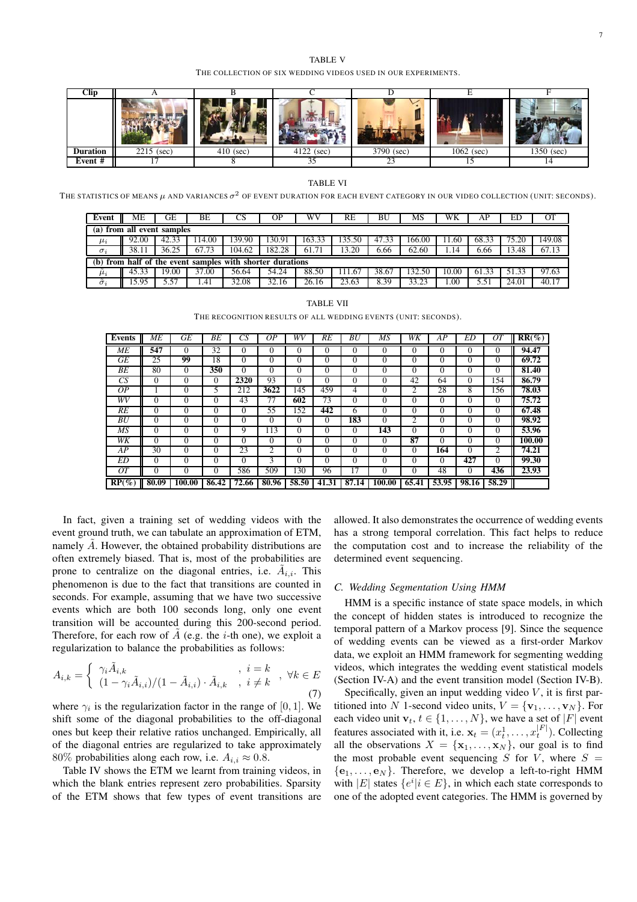TABLE V THE COLLECTION OF SIX WEDDING VIDEOS USED IN OUR EXPERIMENTS.

| Clip            |              |             |            |            |              |            |
|-----------------|--------------|-------------|------------|------------|--------------|------------|
|                 |              |             |            |            |              |            |
| <b>Duration</b> | $2215$ (sec) | $410$ (sec) | 4122 (sec) | 3790 (sec) | $1062$ (sec) | 1350 (sec) |
| Event #         |              |             | ົ<br>ت ب   | 23         |              |            |

TABLE VI

THE STATISTICS OF MEANS  $\mu$  and variances  $\sigma^2$  of event duration for each event category in our video collection (unit: seconds).

| Event                                 | MЕ    | GЕ    | BE                                                        | CS     | ΟP     | WV     | RE     | BU    | MS     | WK    | AP    | EΓ                 | OΤ             |
|---------------------------------------|-------|-------|-----------------------------------------------------------|--------|--------|--------|--------|-------|--------|-------|-------|--------------------|----------------|
| $\overline{a}$ from all event samples |       |       |                                                           |        |        |        |        |       |        |       |       |                    |                |
| $\mu_i$                               | 92.00 | 42.33 | 14.00                                                     | 39.90  | 30.91  | 163.33 | 135.50 | 47.33 | 166.00 | .60   | 68.33 | $75.\overline{20}$ | 149.08         |
| $\sigma_i$                            | 38.11 | 36.25 | 67.73                                                     | 104.62 | 182.28 | 61.7   | 13.20  | 6.66  | 62.60  | 1.14  | 6.66  | 13.48              | 67.13          |
|                                       |       |       | (b) from half of the event samples with shorter durations |        |        |        |        |       |        |       |       |                    |                |
| $\mu_i$                               | 45.33 | 19.00 | 37.00                                                     | 56.64  | 54.24  | 88.50  | 111.67 | 38.67 | 132.50 | 10.00 | 61.33 | 51.33              | 97.63          |
| $\tilde{\sigma}_i$                    | 15.95 | 5.57  | 1.41                                                      | 32.08  | 32.16  | 26.16  | 23.63  | 8.39  | 33.23  | 1.00  | 5.51  | 24.01              | $\sqrt{40.17}$ |

TABLE VII

THE RECOGNITION RESULTS OF ALL WEDDING EVENTS (UNIT: SECONDS).

| Events          | МE             | GE       | ΒE           | CS       | 0P       | WV             | RE       | BU       | ΜS       | WK       | AP       | ED       | ОT       | $RR(\%)$ |
|-----------------|----------------|----------|--------------|----------|----------|----------------|----------|----------|----------|----------|----------|----------|----------|----------|
| МE              | 547            | $\Omega$ | 32           | $\theta$ | 0        | $\Omega$       | $\Omega$ | 0        |          | $\theta$ | $\theta$ | $\Omega$ | 0        | 94.47    |
| GE              | 25             | 99       | 18           | $\Omega$ | 0        | $\Omega$       | $\Omega$ | 0        | 0        | 0        | $\Omega$ | $\Omega$ | 0        | 69.72    |
| BЕ              | 80             | $\Omega$ | 350          | $\Omega$ | 0        | $\Omega$       | $\Omega$ | 0        | $\Omega$ | 0        | $\Omega$ | $\Omega$ | 0        | 81.40    |
| $\overline{CS}$ | $\Omega$       | $\Omega$ | $\Omega$     | 2320     | 93       | $\Omega$       | $\Omega$ | $_{0}$   |          | 42       | 64       | $\Omega$ | 154      | 86.79    |
| OΡ              |                | $\Omega$ | 5            | 212      | 3622     | 145            | 459      | 4        | $\Omega$ | 2        | 28       | 8        | 156      | 78.03    |
| WV              | $\Omega$       | $\Omega$ | $\Omega$     | 43       | 77       | 602            | 73       | 0        | $\Omega$ | 0        | $\Omega$ | $\Omega$ | 0        | 75.72    |
| RE              | $\Omega$       | $\Omega$ | $\Omega$     | $\Omega$ | 55       | 152            | 442      | 6        | 0        | 0        | $\Omega$ | $\Omega$ | 0        | 67.48    |
| BU              | $\Omega$       | $\Omega$ | $\Omega$     | $\theta$ | 0        | $\Omega$       | $\Omega$ | 183      | $\Omega$ | 2        | $\Omega$ | $\Omega$ | 0        | 98.92    |
| MS              | $\Omega$       | $\Omega$ | $\Omega$     | 9        | 113      | $\Omega$       | $\theta$ | $_{0}$   | 143      | $\Omega$ | $\Omega$ | $\Omega$ | 0        | 53.96    |
| WK              | $\Omega$       | $\Omega$ | $\Omega$     | $\Omega$ | $\Omega$ | $\Omega$       | $\Omega$ | $\Omega$ | $\Omega$ | 87       | $\Omega$ | $\Omega$ | $\Omega$ | 100.00   |
| $\overline{AP}$ | 30             | $\Omega$ | $\Omega$     | 23       | 2        | $\overline{0}$ | $\Omega$ | 0        | $\Omega$ | $\Omega$ | 164      | $\Omega$ | 2        | 74.21    |
| ED              | $\overline{0}$ | $\Omega$ | $\mathbf{0}$ | $\Omega$ | 3        | $\Omega$       | $\Omega$ | 0        | 0        | 0        | $\Omega$ | 427      | 0        | 99.30    |
| ΟT              | $\theta$       | $\Omega$ | $\Omega$     | 586      | 509      | 130            | 96       | 17       | 0        | 0        | 48       | $\Omega$ | 436      | 23.93    |
| $RP(\%)$        | 80.09          | 100.00   | 86.42        | 72.66    | 80.96    | 58.50          | 41.31    | 87.14    | 100.00   | 65.41    | 53.95    | 98.16    | 58.29    |          |

In fact, given a training set of wedding videos with the event ground truth, we can tabulate an approximation of ETM, namely  $\tilde{A}$ . However, the obtained probability distributions are often extremely biased. That is, most of the probabilities are prone to centralize on the diagonal entries, i.e.  $A_{i,i}$ . This phenomenon is due to the fact that transitions are counted in seconds. For example, assuming that we have two successive events which are both 100 seconds long, only one event transition will be accounted during this 200-second period. Therefore, for each row of  $\tilde{A}$  (e.g. the *i*-th one), we exploit a regularization to balance the probabilities as follows:

$$
A_{i,k} = \begin{cases} \gamma_i \tilde{A}_{i,k} & , i=k \\ (1-\gamma_i \tilde{A}_{i,i})/(1-\tilde{A}_{i,i}) \cdot \tilde{A}_{i,k} & , i \neq k \end{cases}, \forall k \in E
$$
  
(7)

where  $\gamma_i$  is the regularization factor in the range of [0, 1]. We shift some of the diagonal probabilities to the off-diagonal ones but keep their relative ratios unchanged. Empirically, all of the diagonal entries are regularized to take approximately 80% probabilities along each row, i.e.  $A_{i,i} \approx 0.8$ .

Table IV shows the ETM we learnt from training videos, in which the blank entries represent zero probabilities. Sparsity of the ETM shows that few types of event transitions are

allowed. It also demonstrates the occurrence of wedding events has a strong temporal correlation. This fact helps to reduce the computation cost and to increase the reliability of the determined event sequencing.

# *C. Wedding Segmentation Using HMM*

HMM is a specific instance of state space models, in which the concept of hidden states is introduced to recognize the temporal pattern of a Markov process [9]. Since the sequence of wedding events can be viewed as a first-order Markov data, we exploit an HMM framework for segmenting wedding videos, which integrates the wedding event statistical models (Section IV-A) and the event transition model (Section IV-B).

Specifically, given an input wedding video  $V$ , it is first partitioned into N 1-second video units,  $V = {\bf{v}_1, \ldots, v_N}$ . For each video unit  $\mathbf{v}_t, t \in \{1, \ldots, N\}$ , we have a set of  $|F|$  event features associated with it, i.e.  $\mathbf{x}_t = (x_t^1, \dots, x_t^{|F|})$ . Collecting all the observations  $X = \{ \mathbf{x}_t, \dots, \mathbf{x}_t \}$  our goal is to find all the observations  $X = {\mathbf{x}_1, \dots, \mathbf{x}_N}$ , our goal is to find the most probable event sequencing S for V, where  $S =$  $\{e_1, \ldots, e_N\}$ . Therefore, we develop a left-to-right HMM with  $|E|$  states  $\{e^i | i \in E\}$ , in which each state corresponds to one of the adopted event categories. The HMM is governed by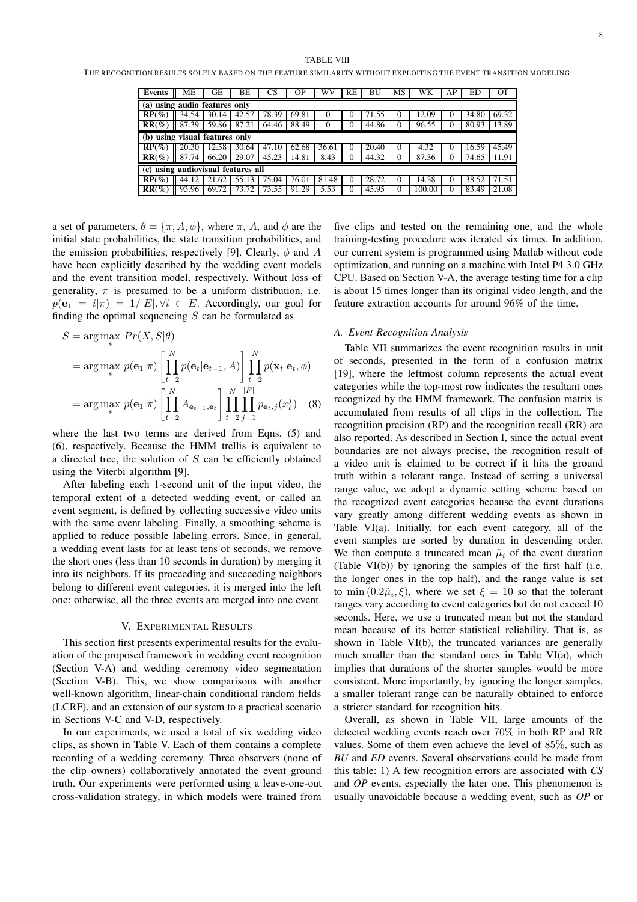# TABLE VIII

THE RECOGNITION RESULTS SOLELY BASED ON THE FEATURE SIMILARITY WITHOUT EXPLOITING THE EVENT TRANSITION MODELING.

| Events                            | MЕ                             | GЕ        | BΕ    | CS    | ΟP    | W     | RE | BU    | MS | WK     | AP | ED    | OТ    |
|-----------------------------------|--------------------------------|-----------|-------|-------|-------|-------|----|-------|----|--------|----|-------|-------|
| using audio features only<br>(a)  |                                |           |       |       |       |       |    |       |    |        |    |       |       |
| $\mathscr{C}_o$<br>RP(            | 34.54                          | 30.14     | 42.57 | 78.39 | 69.81 |       |    | 71.55 |    | 12.09  | 0  | 34.80 | 69.32 |
| $RR(\%)$                          | 87.39                          | 59.86     | 87.21 | 64.46 | 88.49 |       | 0  | 44.86 | O  | 96.55  | 0  | 80.93 | 13.89 |
| using visual features only<br>(b) |                                |           |       |       |       |       |    |       |    |        |    |       |       |
| $RP(\%)$                          | 20.30                          | 12.58     | 30.64 | 47.10 | 62.68 | 36.61 | U  | 20.40 | O  | 4.32   | O  | 16.59 | 45.49 |
| $RR(\%)$                          | 87.74                          | 66.20     | 29.   | 45.23 | 14.81 | 8.43  | 0  | 44.32 | 0  | 87.36  | 0  | 74.65 | 11.91 |
| $\left( \mathbf{c} \right)$       | using audiovisual features all |           |       |       |       |       |    |       |    |        |    |       |       |
| $\mathscr{D}_o$<br>RP(            | 44.12                          | .62<br>21 | 55.13 | 75.04 | 76.01 | 81.48 |    | 28.7  |    | 14.38  | 0  | 38.52 | 71.51 |
| $RR(\%)$                          | 93.96                          | 69.72     | 73.   | 73.55 | 91.29 | 5.53  | 0  | 45.95 | O  | 100.00 | O  | 83.49 | 21.08 |

a set of parameters,  $\theta = {\pi, A, \phi}$ , where  $\pi$ , A, and  $\phi$  are the initial state probabilities, the state transition probabilities, and the emission probabilities, respectively [9]. Clearly,  $\phi$  and A have been explicitly described by the wedding event models and the event transition model, respectively. Without loss of generality,  $\pi$  is presumed to be a uniform distribution, i.e.  $p(\mathbf{e}_1 = i|\pi) = 1/|E|, \forall i \in E$ . Accordingly, our goal for finding the optimal sequencing  $S$  can be formulated as

$$
S = \arg \max_{s} Pr(X, S | \theta)
$$
  
= 
$$
\arg \max_{s} p(\mathbf{e}_{1} | \pi) \left[ \prod_{t=2}^{N} p(\mathbf{e}_{t} | \mathbf{e}_{t-1}, A) \right] \prod_{t=2}^{N} p(\mathbf{x}_{t} | \mathbf{e}_{t}, \phi)
$$
  
= 
$$
\arg \max_{s} p(\mathbf{e}_{1} | \pi) \left[ \prod_{t=2}^{N} A_{\mathbf{e}_{t-1}, \mathbf{e}_{t}} \right] \prod_{t=2}^{N} \prod_{j=1}^{|F|} p_{\mathbf{e}_{t}, j}(x_{t}^{j})
$$
(8)

where the last two terms are derived from Eqns. (5) and (6), respectively. Because the HMM trellis is equivalent to a directed tree, the solution of  $S$  can be efficiently obtained using the Viterbi algorithm [9].

After labeling each 1-second unit of the input video, the temporal extent of a detected wedding event, or called an event segment, is defined by collecting successive video units with the same event labeling. Finally, a smoothing scheme is applied to reduce possible labeling errors. Since, in general, a wedding event lasts for at least tens of seconds, we remove the short ones (less than 10 seconds in duration) by merging it into its neighbors. If its proceeding and succeeding neighbors belong to different event categories, it is merged into the left one; otherwise, all the three events are merged into one event.

#### V. EXPERIMENTAL RESULTS

This section first presents experimental results for the evaluation of the proposed framework in wedding event recognition (Section V-A) and wedding ceremony video segmentation (Section V-B). This, we show comparisons with another well-known algorithm, linear-chain conditional random fields (LCRF), and an extension of our system to a practical scenario in Sections V-C and V-D, respectively.

In our experiments, we used a total of six wedding video clips, as shown in Table V. Each of them contains a complete recording of a wedding ceremony. Three observers (none of the clip owners) collaboratively annotated the event ground truth. Our experiments were performed using a leave-one-out cross-validation strategy, in which models were trained from five clips and tested on the remaining one, and the whole training-testing procedure was iterated six times. In addition, our current system is programmed using Matlab without code optimization, and running on a machine with Intel P4 3.0 GHz CPU. Based on Section V-A, the average testing time for a clip is about 15 times longer than its original video length, and the feature extraction accounts for around 96% of the time.

# *A. Event Recognition Analysis*

Table VII summarizes the event recognition results in unit of seconds, presented in the form of a confusion matrix [19], where the leftmost column represents the actual event categories while the top-most row indicates the resultant ones recognized by the HMM framework. The confusion matrix is accumulated from results of all clips in the collection. The recognition precision (RP) and the recognition recall (RR) are also reported. As described in Section I, since the actual event boundaries are not always precise, the recognition result of a video unit is claimed to be correct if it hits the ground truth within a tolerant range. Instead of setting a universal range value, we adopt a dynamic setting scheme based on the recognized event categories because the event durations vary greatly among different wedding events as shown in Table VI(a). Initially, for each event category, all of the event samples are sorted by duration in descending order. We then compute a truncated mean  $\tilde{\mu}_i$  of the event duration (Table VI(b)) by ignoring the samples of the first half (i.e. the longer ones in the top half), and the range value is set to min  $(0.2\tilde{\mu}_i, \xi)$ , where we set  $\xi = 10$  so that the tolerant ranges vary according to event categories but do not exceed 10 seconds. Here, we use a truncated mean but not the standard mean because of its better statistical reliability. That is, as shown in Table VI(b), the truncated variances are generally much smaller than the standard ones in Table VI(a), which implies that durations of the shorter samples would be more consistent. More importantly, by ignoring the longer samples, a smaller tolerant range can be naturally obtained to enforce a stricter standard for recognition hits.

Overall, as shown in Table VII, large amounts of the detected wedding events reach over 70% in both RP and RR values. Some of them even achieve the level of 85%, such as *BU* and *ED* events. Several observations could be made from this table: 1) A few recognition errors are associated with *CS* and *OP* events, especially the later one. This phenomenon is usually unavoidable because a wedding event, such as *OP* or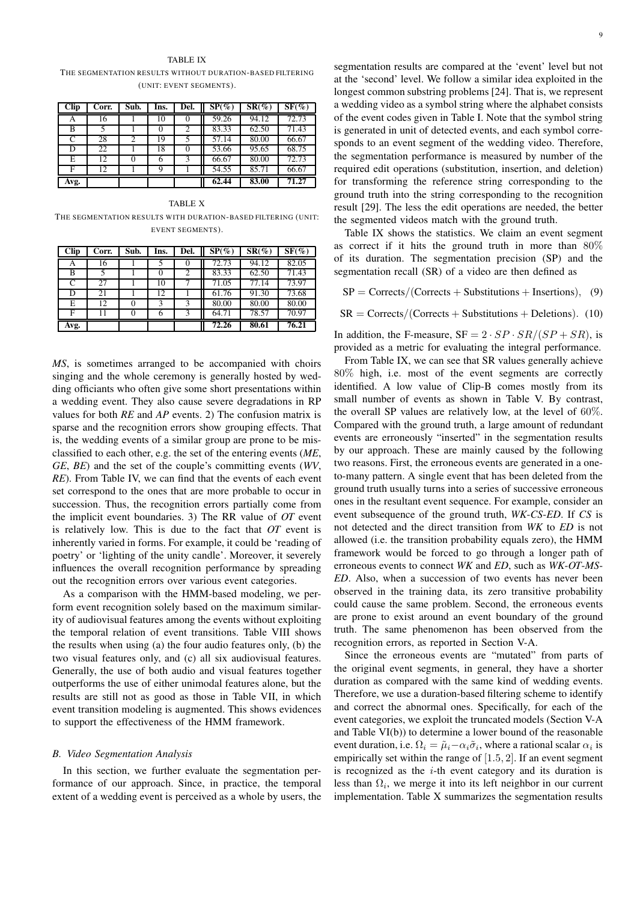# TABLE IX

THE SEGMENTATION RESULTS WITHOUT DURATION-BASED FILTERING (UNIT: EVENT SEGMENTS).

| <b>Clip</b> | Corr. | Sub. | Ins. | Del. | $SP(\%)$           | $SR(\%)$ | $SF(\%)$ |
|-------------|-------|------|------|------|--------------------|----------|----------|
| А           | 16    |      | 10   |      | $\overline{59.26}$ | 94.12    | 72.73    |
| B           |       |      |      |      | 83.33              | 62.50    | 71.43    |
| C           | 28    | 2    | 19   |      | 57.14              | 80.00    | 66.67    |
| D           | 22    |      | 18   |      | 53.66              | 95.65    | 68.75    |
| E           | 12    |      | O    | 3    | 66.67              | 80.00    | 72.73    |
| F           | 12    |      | Q    |      | 54.55              | 85.71    | 66.67    |
| Avg.        |       |      |      |      | 62.44              | 83.00    | 71.27    |

TABLE X THE SEGMENTATION RESULTS WITH DURATION-BASED FILTERING (UNIT: EVENT SEGMENTS).

| <b>Clip</b> | Corr. | Sub.     | Ins.   | Del. | $SP(\%)$           | $SR(\%)$ | $SF(\%)$ |
|-------------|-------|----------|--------|------|--------------------|----------|----------|
| А           | 16    |          |        |      | $72.\overline{73}$ | 94.12    | 82.05    |
| B           |       |          | $_{0}$ | 2    | 83.33              | 62.50    | 71.43    |
| C           | 27    |          | 10     |      | 71.05              | 77.14    | 73.97    |
| D           | 21    |          | 12     |      | 61.76              | 91.30    | 73.68    |
| E           | 12    | 0        |        | 3    | 80.00              | 80.00    | 80.00    |
| F           |       | $\theta$ | 6      | 3    | 64.71              | 78.57    | 70.97    |
| Avg.        |       |          |        |      | 72.26              | 80.61    | 76.21    |

*MS*, is sometimes arranged to be accompanied with choirs singing and the whole ceremony is generally hosted by wedding officiants who often give some short presentations within a wedding event. They also cause severe degradations in RP values for both *RE* and *AP* events. 2) The confusion matrix is sparse and the recognition errors show grouping effects. That is, the wedding events of a similar group are prone to be misclassified to each other, e.g. the set of the entering events (*ME*, *GE*, *BE*) and the set of the couple's committing events (*WV*, *RE*). From Table IV, we can find that the events of each event set correspond to the ones that are more probable to occur in succession. Thus, the recognition errors partially come from the implicit event boundaries. 3) The RR value of *OT* event is relatively low. This is due to the fact that *OT* event is inherently varied in forms. For example, it could be 'reading of poetry' or 'lighting of the unity candle'. Moreover, it severely influences the overall recognition performance by spreading out the recognition errors over various event categories.

As a comparison with the HMM-based modeling, we perform event recognition solely based on the maximum similarity of audiovisual features among the events without exploiting the temporal relation of event transitions. Table VIII shows the results when using (a) the four audio features only, (b) the two visual features only, and (c) all six audiovisual features. Generally, the use of both audio and visual features together outperforms the use of either unimodal features alone, but the results are still not as good as those in Table VII, in which event transition modeling is augmented. This shows evidences to support the effectiveness of the HMM framework.

# *B. Video Segmentation Analysis*

In this section, we further evaluate the segmentation performance of our approach. Since, in practice, the temporal extent of a wedding event is perceived as a whole by users, the

segmentation results are compared at the 'event' level but not at the 'second' level. We follow a similar idea exploited in the longest common substring problems [24]. That is, we represent a wedding video as a symbol string where the alphabet consists of the event codes given in Table I. Note that the symbol string is generated in unit of detected events, and each symbol corresponds to an event segment of the wedding video. Therefore, the segmentation performance is measured by number of the required edit operations (substitution, insertion, and deletion) for transforming the reference string corresponding to the ground truth into the string corresponding to the recognition result [29]. The less the edit operations are needed, the better the segmented videos match with the ground truth.

Table IX shows the statistics. We claim an event segment as correct if it hits the ground truth in more than 80% of its duration. The segmentation precision (SP) and the segmentation recall (SR) of a video are then defined as

 $SP = \text{Corrects}/(\text{Corrects} + \text{Substitutions} + \text{Insertions}),$  (9)

 $SR = \text{Corrects}/(\text{Corrects} + \text{Substitutions} + \text{Deletions}).$  (10)

In addition, the F-measure,  $SF = 2 \cdot SP \cdot SR/(SP + SR)$ , is provided as a metric for evaluating the integral performance.

From Table IX, we can see that SR values generally achieve 80% high, i.e. most of the event segments are correctly identified. A low value of Clip-B comes mostly from its small number of events as shown in Table V. By contrast, the overall SP values are relatively low, at the level of 60%. Compared with the ground truth, a large amount of redundant events are erroneously "inserted" in the segmentation results by our approach. These are mainly caused by the following two reasons. First, the erroneous events are generated in a oneto-many pattern. A single event that has been deleted from the ground truth usually turns into a series of successive erroneous ones in the resultant event sequence. For example, consider an event subsequence of the ground truth, *WK*-*CS*-*ED*. If *CS* is not detected and the direct transition from *WK* to *ED* is not allowed (i.e. the transition probability equals zero), the HMM framework would be forced to go through a longer path of erroneous events to connect *WK* and *ED*, such as *WK*-*OT*-*MS*-*ED*. Also, when a succession of two events has never been observed in the training data, its zero transitive probability could cause the same problem. Second, the erroneous events are prone to exist around an event boundary of the ground truth. The same phenomenon has been observed from the recognition errors, as reported in Section V-A.

Since the erroneous events are "mutated" from parts of the original event segments, in general, they have a shorter duration as compared with the same kind of wedding events. Therefore, we use a duration-based filtering scheme to identify and correct the abnormal ones. Specifically, for each of the event categories, we exploit the truncated models (Section V-A and Table VI(b)) to determine a lower bound of the reasonable event duration, i.e.  $\Omega_i = \tilde{\mu}_i - \alpha_i \tilde{\sigma}_i$ , where a rational scalar  $\alpha_i$  is empirically set within the range of [1.5, 2]. If an event segment is recognized as the  $i$ -th event category and its duration is less than  $\Omega_i$ , we merge it into its left neighbor in our current implementation. Table X summarizes the segmentation results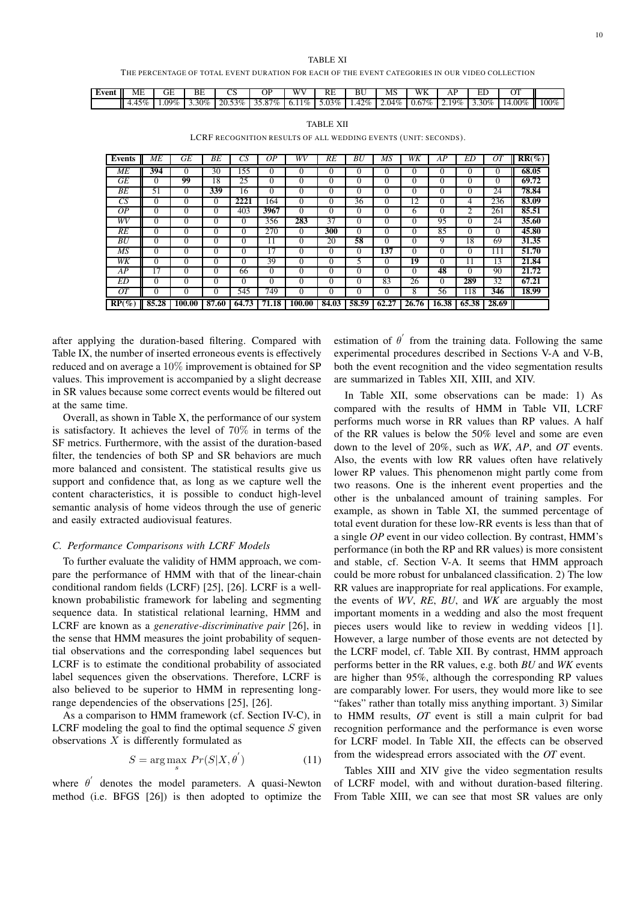#### TABLE XI

THE PERCENTAGE OF TOTAL EVENT DURATION FOR EACH OF THE EVENT CATEGORIES IN OUR VIDEO COLLECTION

 $\left[ \frac{4.45\%}{1.09\%} \right]$  3.30%  $\left[ \frac{2.53\%}{2.5.87\%} \right]$  5.11% 5.03% 1.42% 2.04% 0.67% 2.19% 3.30% 14.00% 100%

#### TABLE XII

Event || ME | GE | BE | CS | OP | WV | RE | BU | MS | WK | AP | ED | OT

LCRF RECOGNITION RESULTS OF ALL WEDDING EVENTS (UNIT: SECONDS).

| Events | MЕ       | GE       | BE       | CS       | OΡ       | WV       | RE           | BU       | ΜS       | WK       | AP     | ED       | ΟT           | $RR(\%)$ |
|--------|----------|----------|----------|----------|----------|----------|--------------|----------|----------|----------|--------|----------|--------------|----------|
| МE     | 394      | $\Omega$ | 30       | 155      | $\Omega$ | 0        | $\Omega$     | $\Omega$ | $\Omega$ | $\Omega$ | O      | $\Omega$ | $\theta$     | 68.05    |
| GЕ     | $\Omega$ | 99       | 18       | 25       | $\Omega$ | 0        | 0            | $\Omega$ | $\Omega$ | 0        | 0      | $\Omega$ | $\mathbf{0}$ | 69.72    |
| BЕ     | 51       | $\Omega$ | 339      | 16       | 0        | 0        | $\Omega$     | $\Omega$ | $\Omega$ | $\Omega$ | 0      | $\Omega$ | 24           | 78.84    |
| СS     | $\Omega$ | $\Omega$ | $\Omega$ | 2221     | 164      | 0        | 0            | 36       | $\Omega$ | 12       | 0      | 4        | 236          | 83.09    |
| ΟP     | $\Omega$ | $\Omega$ | $\Omega$ | 403      | 3967     | 0        | $\Omega$     | $\Omega$ | $\Omega$ | 6        | $_{0}$ | 2        | 261          | 85.51    |
| WV     | $\Omega$ | $\Omega$ | $\Omega$ | $\Omega$ | 356      | 283      | 37           | $\Omega$ | $\Omega$ | $\Omega$ | 95     | $\Omega$ | 24           | 35.60    |
| RE     | $\Omega$ | $\Omega$ | $\Omega$ | $\theta$ | 270      | $\Omega$ | 300          | $\Omega$ | $\Omega$ | 0        | 85     | $\Omega$ | $\theta$     | 45.80    |
| BU     | $\Omega$ | $\Omega$ | $\Omega$ | $\Omega$ | 11       | 0        | 20           | 58       | $\Omega$ | 0        | 9      | 18       | 69           | 31.35    |
| ΜS     | $\Omega$ | $\Omega$ | $\Omega$ | $\Omega$ | 17       | 0        | $\Omega$     | 0        | 137      | $\Omega$ | 0      | $\Omega$ | 111          | 51.70    |
| WK     | $\Omega$ | $\Omega$ | $\Omega$ | $\Omega$ | 39       | 0        | $\Omega$     |          | $\Omega$ | 19       | 0      | 11       | 13           | 21.84    |
| ΑP     | 17       | $\Omega$ | $\Omega$ | 66       | 0        | 0        | 0            | 0        | $\Omega$ | 0        | 48     | $\Omega$ | 90           | 21.72    |
| ED     | $\Omega$ | $\Omega$ | $\Omega$ | $\Omega$ | $\theta$ | $\Omega$ | $\Omega$     | $\Omega$ | 83       | 26       | 0      | 289      | 32           | 67.21    |
| ΟT     | $\Omega$ | $\Omega$ | $\Omega$ | 545      | 749      | $\Omega$ | $\mathbf{0}$ | $\Omega$ | $\Omega$ | 8        | 56     | 118      | 346          | 18.99    |
| $RP\%$ | 85.28    | 100.00   | 87.60    | 64.73    | 71.18    | 100.00   | 84.03        | 58.59    | 62.27    | 26.76    | 16.38  | 65.38    | 28.69        |          |

after applying the duration-based filtering. Compared with Table IX, the number of inserted erroneous events is effectively reduced and on average a 10% improvement is obtained for SP values. This improvement is accompanied by a slight decrease in SR values because some correct events would be filtered out at the same time.

Overall, as shown in Table X, the performance of our system is satisfactory. It achieves the level of 70% in terms of the SF metrics. Furthermore, with the assist of the duration-based filter, the tendencies of both SP and SR behaviors are much more balanced and consistent. The statistical results give us support and confidence that, as long as we capture well the content characteristics, it is possible to conduct high-level semantic analysis of home videos through the use of generic and easily extracted audiovisual features.

## *C. Performance Comparisons with LCRF Models*

To further evaluate the validity of HMM approach, we compare the performance of HMM with that of the linear-chain conditional random fields (LCRF) [25], [26]. LCRF is a wellknown probabilistic framework for labeling and segmenting sequence data. In statistical relational learning, HMM and LCRF are known as a *generative-discriminative pair* [26], in the sense that HMM measures the joint probability of sequential observations and the corresponding label sequences but LCRF is to estimate the conditional probability of associated label sequences given the observations. Therefore, LCRF is also believed to be superior to HMM in representing longrange dependencies of the observations [25], [26].

As a comparison to HMM framework (cf. Section IV-C), in LCRF modeling the goal to find the optimal sequence  $S$  given observations  $X$  is differently formulated as

$$
S = \arg\max_{s} Pr(S|X, \theta^{'})
$$
 (11)

where  $\theta'$  denotes the model parameters. A quasi-Newton method (i.e. BFGS [26]) is then adopted to optimize the

estimation of  $\theta'$  from the training data. Following the same experimental procedures described in Sections V-A and V-B, both the event recognition and the video segmentation results are summarized in Tables XII, XIII, and XIV.

In Table XII, some observations can be made: 1) As compared with the results of HMM in Table VII, LCRF performs much worse in RR values than RP values. A half of the RR values is below the 50% level and some are even down to the level of 20%, such as *WK*, *AP*, and *OT* events. Also, the events with low RR values often have relatively lower RP values. This phenomenon might partly come from two reasons. One is the inherent event properties and the other is the unbalanced amount of training samples. For example, as shown in Table XI, the summed percentage of total event duration for these low-RR events is less than that of a single *OP* event in our video collection. By contrast, HMM's performance (in both the RP and RR values) is more consistent and stable, cf. Section V-A. It seems that HMM approach could be more robust for unbalanced classification. 2) The low RR values are inappropriate for real applications. For example, the events of *WV*, *RE*, *BU*, and *WK* are arguably the most important moments in a wedding and also the most frequent pieces users would like to review in wedding videos [1]. However, a large number of those events are not detected by the LCRF model, cf. Table XII. By contrast, HMM approach performs better in the RR values, e.g. both *BU* and *WK* events are higher than 95%, although the corresponding RP values are comparably lower. For users, they would more like to see "fakes" rather than totally miss anything important. 3) Similar to HMM results, *OT* event is still a main culprit for bad recognition performance and the performance is even worse for LCRF model. In Table XII, the effects can be observed from the widespread errors associated with the *OT* event.

Tables XIII and XIV give the video segmentation results of LCRF model, with and without duration-based filtering. From Table XIII, we can see that most SR values are only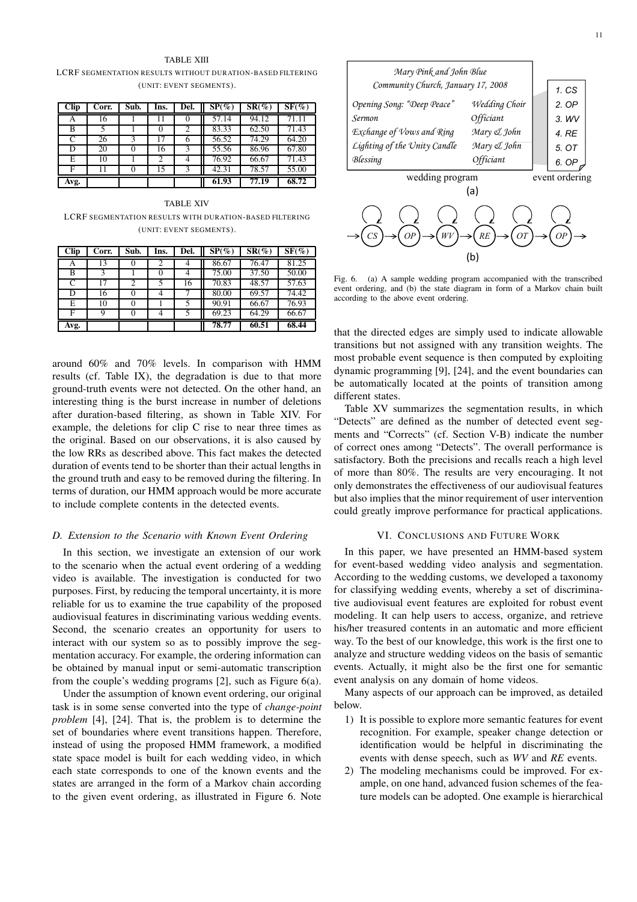TABLE XIII LCRF SEGMENTATION RESULTS WITHOUT DURATION-BASED FILTERING (UNIT: EVENT SEGMENTS).

| <b>Clip</b> | Corr. | Sub.              | Ins. | Del. | $SP(\%)$ | $SR(\%)$ | $SF(\%)$ |
|-------------|-------|-------------------|------|------|----------|----------|----------|
| А           | 16    |                   | 11   |      | 57.14    | 94.12    | 71.11    |
| B           |       |                   |      |      | 83.33    | 62.50    | 71.43    |
| C           | 26    | 3                 | 17   | h    | 56.52    | 74.29    | 64.20    |
| D           | 20    |                   | 16   | 3    | 55.56    | 86.96    | 67.80    |
| E           | 10    |                   | 2    |      | 76.92    | 66.67    | 71.43    |
| F           |       | $\mathbf{\Omega}$ | 15   | 3    | 42.31    | 78.57    | 55.00    |
| Avg.        |       |                   |      |      | 61.93    | 77.19    | 68.72    |

TABLE XIV LCRF SEGMENTATION RESULTS WITH DURATION-BASED FILTERING (UNIT: EVENT SEGMENTS).

| <b>Clip</b> | Corr. | Sub.              | Ins. | Del. | $SP(\%)$ | $SR(\%)$ | $SF(\%)$ |
|-------------|-------|-------------------|------|------|----------|----------|----------|
| А           | 13    |                   | 2    |      | 86.67    | 76.47    | 81.25    |
| B           | 3     |                   |      |      | 75.00    | 37.50    | 50.00    |
| C           | 17    | 2                 | 5    | 16   | 70.83    | 48.57    | 57.63    |
| D           | 16    |                   |      |      | 80.00    | 69.57    | 74.42    |
| E           | 10    | 0                 |      | 5    | 90.91    | 66.67    | 76.93    |
| F           | Q     | $\mathbf{\Omega}$ |      | 5    | 69.23    | 64.29    | 66.67    |
| Avg.        |       |                   |      |      | 78.77    | 60.51    | 68.44    |

around 60% and 70% levels. In comparison with HMM results (cf. Table IX), the degradation is due to that more ground-truth events were not detected. On the other hand, an interesting thing is the burst increase in number of deletions after duration-based filtering, as shown in Table XIV. For example, the deletions for clip C rise to near three times as the original. Based on our observations, it is also caused by the low RRs as described above. This fact makes the detected duration of events tend to be shorter than their actual lengths in the ground truth and easy to be removed during the filtering. In terms of duration, our HMM approach would be more accurate to include complete contents in the detected events.

# *D. Extension to the Scenario with Known Event Ordering*

In this section, we investigate an extension of our work to the scenario when the actual event ordering of a wedding video is available. The investigation is conducted for two purposes. First, by reducing the temporal uncertainty, it is more reliable for us to examine the true capability of the proposed audiovisual features in discriminating various wedding events. Second, the scenario creates an opportunity for users to interact with our system so as to possibly improve the segmentation accuracy. For example, the ordering information can be obtained by manual input or semi-automatic transcription from the couple's wedding programs [2], such as Figure 6(a).

Under the assumption of known event ordering, our original task is in some sense converted into the type of *change-point problem* [4], [24]. That is, the problem is to determine the set of boundaries where event transitions happen. Therefore, instead of using the proposed HMM framework, a modified state space model is built for each wedding video, in which each state corresponds to one of the known events and the states are arranged in the form of a Markov chain according to the given event ordering, as illustrated in Figure 6. Note



Fig. 6. (a) A sample wedding program accompanied with the transcribed event ordering, and (b) the state diagram in form of a Markov chain built according to the above event ordering.

that the directed edges are simply used to indicate allowable transitions but not assigned with any transition weights. The most probable event sequence is then computed by exploiting dynamic programming [9], [24], and the event boundaries can be automatically located at the points of transition among different states.

Table XV summarizes the segmentation results, in which "Detects" are defined as the number of detected event segments and "Corrects" (cf. Section V-B) indicate the number of correct ones among "Detects". The overall performance is satisfactory. Both the precisions and recalls reach a high level of more than 80%. The results are very encouraging. It not only demonstrates the effectiveness of our audiovisual features but also implies that the minor requirement of user intervention could greatly improve performance for practical applications.

# VI. CONCLUSIONS AND FUTURE WORK

In this paper, we have presented an HMM-based system for event-based wedding video analysis and segmentation. According to the wedding customs, we developed a taxonomy for classifying wedding events, whereby a set of discriminative audiovisual event features are exploited for robust event modeling. It can help users to access, organize, and retrieve his/her treasured contents in an automatic and more efficient way. To the best of our knowledge, this work is the first one to analyze and structure wedding videos on the basis of semantic events. Actually, it might also be the first one for semantic event analysis on any domain of home videos.

Many aspects of our approach can be improved, as detailed below.

- 1) It is possible to explore more semantic features for event recognition. For example, speaker change detection or identification would be helpful in discriminating the events with dense speech, such as *WV* and *RE* events.
- 2) The modeling mechanisms could be improved. For example, on one hand, advanced fusion schemes of the feature models can be adopted. One example is hierarchical